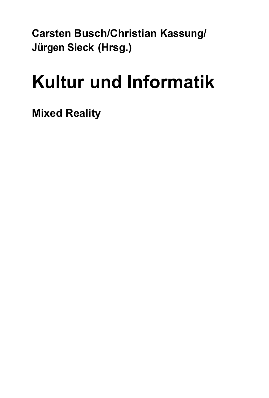**Carsten Busch/Christian Kassung/ Jürgen Sieck (Hrsg.)** 

## **Kultur und Informatik**

**Mixed Reality**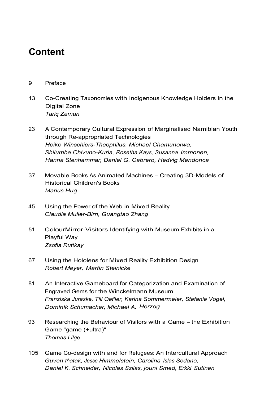## **Content**

## 9 Preface

- 13 Co-Creating Taxonomies with Indigenous Knowledge Holders in the Digital Zone *Tariq Zaman*
- 23 A Contemporary Cultural Expression of Marginalised Namibian Youth through Re-appropriated Technologies *Heike Winschiers-Theophilus, Michael Chamunorwa, Shilumbe Chivuno-Kuria, Rosetha Kays, Susanna Immonen, Hanna Stenharnmar, Daniel G. Cabrero, Hedvig Mendonca*
- 37 Movable Books As Animated Machines Creating 3D-Models of Historical Children's Books *Marius Hug*
- 45 Using the Power of the Web in Mixed Reality *Claudia Muller-Birn, Guangtao Zhang*
- 51 ColourMirror-Visitors Identifying with Museum Exhibits in a Playful Way *Zsofia Ruttkay*
- 67 Using the Hololens for Mixed Reality Exhibition Design *Robert Meyer, Martin Steinicke*
- 81 An Interactive Gameboard for Categorization and Examination of Engraved Gems for the Winckelmann Museum *Franziska Juraske, Till Oet'ler, Karina Sommermeier, Stefanie Vogel, Dominik Schumacher, Michael A. Herzog*
- 93 Researching the Behaviour of Visitors with a Game the Exhibition Game "game (+ultra)" *Thomas Lilge*
- 105 Game Co-design with and for Refugees: An Intercultural Approach *Guven t^atak, Jesse Himmelstein, Carolina Islas Sedano, Daniel K. Schneider, Nicolas Szilas, jouni Smed, Erkki Sutinen*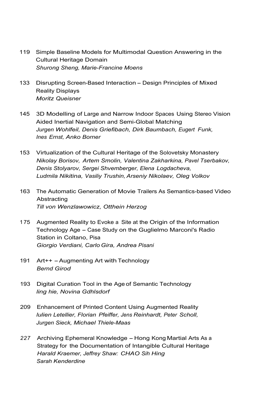- 119 Simple Baseline Models for Multimodal Question Answering in the Cultural Heritage Domain *Shurong Sheng, Marie-Francine Moens*
- 133 Disrupting Screen-Based Interaction Design Principles of Mixed Reality Displays *Moritz Queisner*
- 145 3D Modelling of Large and Narrow Indoor Spaces Using Stereo Vision Aided Inertial Navigation and Semi-Global Matching *Jurgen Wohlfeil, Denis Griefibach, Dirk Baumbach, Eugert Funk, Ines Ernst, Anko Borner*
- 153 Virtualization of the Cultural Heritage of the Solovetsky Monastery *Nikolay Borisov, Artem Smolin, Valentina Zakharkina, Pavel Tserbakov, Denis Stolyarov, Sergei Shvemberger, Elena Logdacheva, Ludmila Nikitina, Vasiliy Trushin, Arseniy Nikolaev, Oleg Volkov*
- 163 The Automatic Generation of Movie Trailers As Semantics-based Video Abstracting *Till von Wenzlawowicz, Otthein Herzog*
- 1 75 Augmented Reality to Evoke a Site at the Origin of the Information Technology Age - Case Study on the Guglielmo Marconi's Radio Station in Coltano, Pisa *Giorgio Verdiani, Carlo Gira, Andrea Pisani*
- 191 Art++ Augmenting Art with Technology *Bernd Girod*
- 193 Digital Curation Tool in the Age of Semantic Technology *ling hie, Novina Gdhlsdorf*
- 209 Enhancement of Printed Content Using Augmented Reality *lulien Letellier, Florian Pfeiffer, Jens Reinhardt, Peter Scholl, Jurgen Sieck, Michael Thiele-Maas*
- 227 Archiving Ephemeral Knowledge Hong Kong Martial Arts As a Strategy for the Documentation of Intangible Cultural Heritage *Harald Kraemer, Jeffrey Shaw: CHAO Sih Hing Sarah Kenderdine*